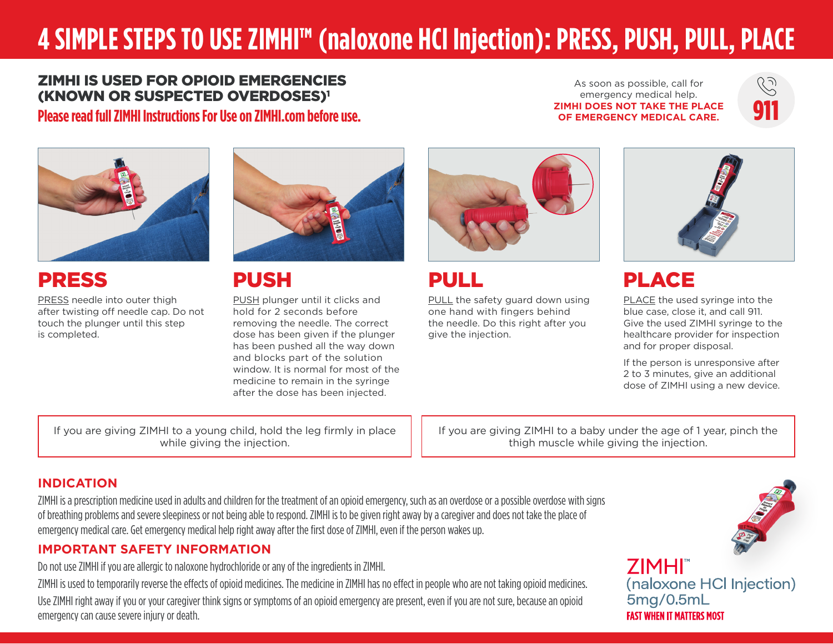# **4 SIMPLE STEPS TO USE ZIMHI™ (naloxone HCl Injection): PRESS, PUSH, PULL, PLACE**

#### ZIMHI IS USED FOR OPIOID EMERGENCIES (KNOWN OR SUSPECTED OVERDOSES)1 **Please read full ZIMHI Instructions For Use on ZIMHI.com before use.**

As soon as possible, call for emergency medical help. **ZIMHI DOES NOT TAKE THE PLACE OF EMERGENCY MEDICAL CARE.**





### PRESS

PRESS needle into outer thigh after twisting off needle cap. Do not touch the plunger until this step is completed.



### PUSH

PUSH plunger until it clicks and hold for 2 seconds before removing the needle. The correct dose has been given if the plunger has been pushed all the way down and blocks part of the solution window. It is normal for most of the medicine to remain in the syringe after the dose has been injected.

If you are giving ZIMHI to a young child, hold the leg firmly in place while giving the injection.

PULL

PULL the safety guard down using one hand with fingers behind the needle. Do this right after you give the injection.



## PLACE

PLACE the used syringe into the blue case, close it, and call 911. Give the used ZIMHI syringe to the healthcare provider for inspection and for proper disposal.

If the person is unresponsive after 2 to 3 minutes, give an additional dose of ZIMHI using a new device.

If you are giving ZIMHI to a baby under the age of 1 year, pinch the thigh muscle while giving the injection.

#### **INDICATION**

ZIMHI is a prescription medicine used in adults and children for the treatment of an opioid emergency, such as an overdose or a possible overdose with signs of breathing problems and severe sleepiness or not being able to respond. ZIMHI is to be given right away by a caregiver and does not take the place of emergency medical care. Get emergency medical help right away after the first dose of ZIMHI, even if the person wakes up.

#### **IMPORTANT SAFETY INFORMATION**

Do not use ZIMHI if you are allergic to naloxone hydrochloride or any of the ingredients in ZIMHI.

ZIMHI is used to temporarily reverse the effects of opioid medicines. The medicine in ZIMHI has no effect in people who are not taking opioid medicines. Use ZIMHI right away if you or your caregiver think signs or symptoms of an opioid emergency are present, even if you are not sure, because an opioid emergency can cause severe injury or death.